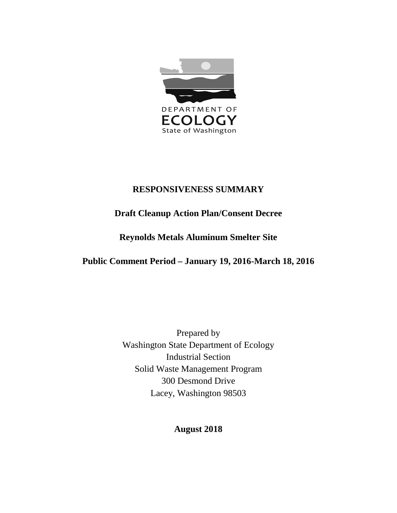

# **RESPONSIVENESS SUMMARY**

# **Draft Cleanup Action Plan/Consent Decree**

# **Reynolds Metals Aluminum Smelter Site**

# **Public Comment Period – January 19, 2016-March 18, 2016**

Prepared by Washington State Department of Ecology Industrial Section Solid Waste Management Program 300 Desmond Drive Lacey, Washington 98503

# **August 2018**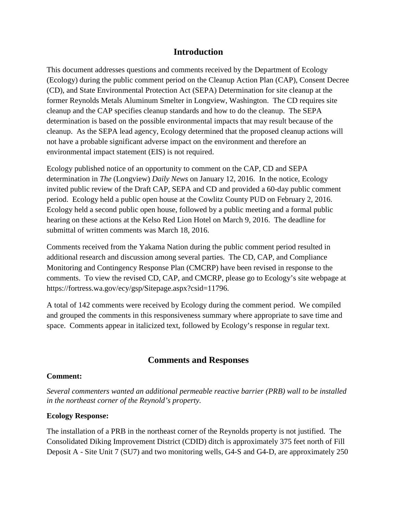# **Introduction**

This document addresses questions and comments received by the Department of Ecology (Ecology) during the public comment period on the Cleanup Action Plan (CAP), Consent Decree (CD), and State Environmental Protection Act (SEPA) Determination for site cleanup at the former Reynolds Metals Aluminum Smelter in Longview, Washington. The CD requires site cleanup and the CAP specifies cleanup standards and how to do the cleanup. The SEPA determination is based on the possible environmental impacts that may result because of the cleanup. As the SEPA lead agency, Ecology determined that the proposed cleanup actions will not have a probable significant adverse impact on the environment and therefore an environmental impact statement (EIS) is not required.

Ecology published notice of an opportunity to comment on the CAP, CD and SEPA determination in *The* (Longview) *Daily News* on January 12, 2016. In the notice, Ecology invited public review of the Draft CAP, SEPA and CD and provided a 60-day public comment period. Ecology held a public open house at the Cowlitz County PUD on February 2, 2016. Ecology held a second public open house, followed by a public meeting and a formal public hearing on these actions at the Kelso Red Lion Hotel on March 9, 2016. The deadline for submittal of written comments was March 18, 2016.

Comments received from the Yakama Nation during the public comment period resulted in additional research and discussion among several parties. The CD, CAP, and Compliance Monitoring and Contingency Response Plan (CMCRP) have been revised in response to the comments. To view the revised CD, CAP, and CMCRP, please go to Ecology's site webpage at https://fortress.wa.gov/ecy/gsp/Sitepage.aspx?csid=11796.

A total of 142 comments were received by Ecology during the comment period. We compiled and grouped the comments in this responsiveness summary where appropriate to save time and space. Comments appear in italicized text, followed by Ecology's response in regular text.

# **Comments and Responses**

#### **Comment:**

*Several commenters wanted an additional permeable reactive barrier (PRB) wall to be installed in the northeast corner of the Reynold's property.*

# **Ecology Response:**

The installation of a PRB in the northeast corner of the Reynolds property is not justified. The Consolidated Diking Improvement District (CDID) ditch is approximately 375 feet north of Fill Deposit A - Site Unit 7 (SU7) and two monitoring wells, G4-S and G4-D, are approximately 250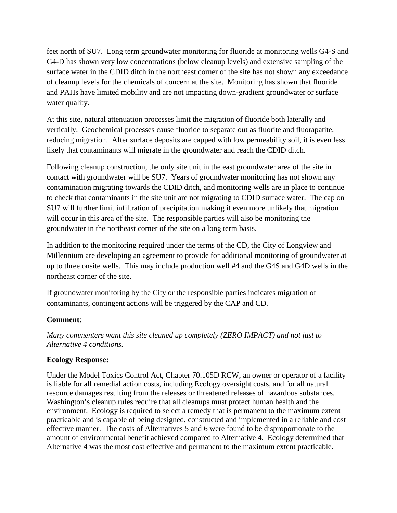feet north of SU7. Long term groundwater monitoring for fluoride at monitoring wells G4-S and G4-D has shown very low concentrations (below cleanup levels) and extensive sampling of the surface water in the CDID ditch in the northeast corner of the site has not shown any exceedance of cleanup levels for the chemicals of concern at the site. Monitoring has shown that fluoride and PAHs have limited mobility and are not impacting down-gradient groundwater or surface water quality.

At this site, natural attenuation processes limit the migration of fluoride both laterally and vertically. Geochemical processes cause fluoride to separate out as fluorite and fluorapatite, reducing migration. After surface deposits are capped with low permeability soil, it is even less likely that contaminants will migrate in the groundwater and reach the CDID ditch.

Following cleanup construction, the only site unit in the east groundwater area of the site in contact with groundwater will be SU7. Years of groundwater monitoring has not shown any contamination migrating towards the CDID ditch, and monitoring wells are in place to continue to check that contaminants in the site unit are not migrating to CDID surface water. The cap on SU7 will further limit infiltration of precipitation making it even more unlikely that migration will occur in this area of the site. The responsible parties will also be monitoring the groundwater in the northeast corner of the site on a long term basis.

In addition to the monitoring required under the terms of the CD, the City of Longview and Millennium are developing an agreement to provide for additional monitoring of groundwater at up to three onsite wells. This may include production well #4 and the G4S and G4D wells in the northeast corner of the site.

If groundwater monitoring by the City or the responsible parties indicates migration of contaminants, contingent actions will be triggered by the CAP and CD.

# **Comment**:

*Many commenters want this site cleaned up completely (ZERO IMPACT) and not just to Alternative 4 conditions.*

# **Ecology Response:**

Under the Model Toxics Control Act, Chapter 70.105D RCW, an owner or operator of a facility is liable for all remedial action costs, including Ecology oversight costs, and for all natural resource damages resulting from the releases or threatened releases of hazardous substances. Washington's cleanup rules require that all cleanups must protect human health and the environment. Ecology is required to select a remedy that is permanent to the maximum extent practicable and is capable of being designed, constructed and implemented in a reliable and cost effective manner. The costs of Alternatives 5 and 6 were found to be disproportionate to the amount of environmental benefit achieved compared to Alternative 4. Ecology determined that Alternative 4 was the most cost effective and permanent to the maximum extent practicable.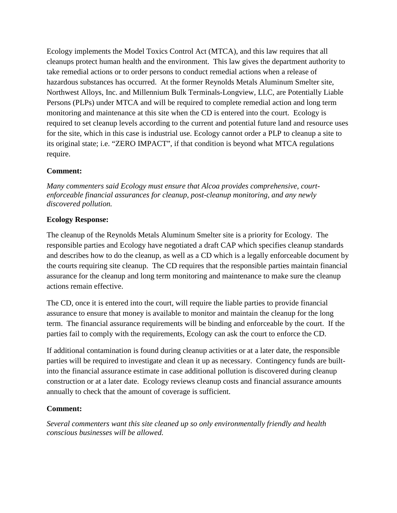Ecology implements the Model Toxics Control Act (MTCA), and this law requires that all cleanups protect human health and the environment. This law gives the department authority to take remedial actions or to order persons to conduct remedial actions when a release of hazardous substances has occurred. At the former Reynolds Metals Aluminum Smelter site, Northwest Alloys, Inc. and Millennium Bulk Terminals-Longview, LLC, are Potentially Liable Persons (PLPs) under MTCA and will be required to complete remedial action and long term monitoring and maintenance at this site when the CD is entered into the court. Ecology is required to set cleanup levels according to the current and potential future land and resource uses for the site, which in this case is industrial use. Ecology cannot order a PLP to cleanup a site to its original state; i.e. "ZERO IMPACT", if that condition is beyond what MTCA regulations require.

# **Comment:**

*Many commenters said Ecology must ensure that Alcoa provides comprehensive, courtenforceable financial assurances for cleanup, post-cleanup monitoring, and any newly discovered pollution.*

# **Ecology Response:**

The cleanup of the Reynolds Metals Aluminum Smelter site is a priority for Ecology. The responsible parties and Ecology have negotiated a draft CAP which specifies cleanup standards and describes how to do the cleanup, as well as a CD which is a legally enforceable document by the courts requiring site cleanup. The CD requires that the responsible parties maintain financial assurance for the cleanup and long term monitoring and maintenance to make sure the cleanup actions remain effective.

The CD, once it is entered into the court, will require the liable parties to provide financial assurance to ensure that money is available to monitor and maintain the cleanup for the long term. The financial assurance requirements will be binding and enforceable by the court. If the parties fail to comply with the requirements, Ecology can ask the court to enforce the CD.

If additional contamination is found during cleanup activities or at a later date, the responsible parties will be required to investigate and clean it up as necessary. Contingency funds are builtinto the financial assurance estimate in case additional pollution is discovered during cleanup construction or at a later date. Ecology reviews cleanup costs and financial assurance amounts annually to check that the amount of coverage is sufficient.

# **Comment:**

*Several commenters want this site cleaned up so only environmentally friendly and health conscious businesses will be allowed.*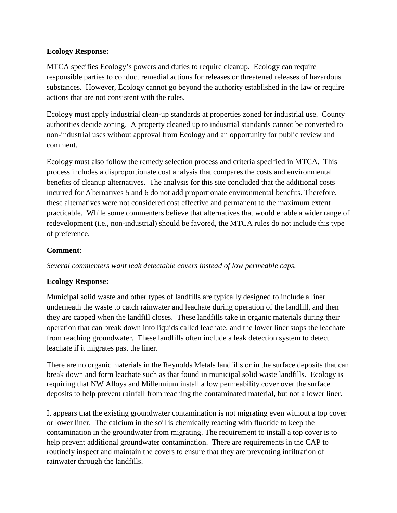# **Ecology Response:**

MTCA specifies Ecology's powers and duties to require cleanup. Ecology can require responsible parties to conduct remedial actions for releases or threatened releases of hazardous substances. However, Ecology cannot go beyond the authority established in the law or require actions that are not consistent with the rules.

Ecology must apply industrial clean-up standards at properties zoned for industrial use. County authorities decide zoning. A property cleaned up to industrial standards cannot be converted to non-industrial uses without approval from Ecology and an opportunity for public review and comment.

Ecology must also follow the remedy selection process and criteria specified in MTCA. This process includes a disproportionate cost analysis that compares the costs and environmental benefits of cleanup alternatives. The analysis for this site concluded that the additional costs incurred for Alternatives 5 and 6 do not add proportionate environmental benefits. Therefore, these alternatives were not considered cost effective and permanent to the maximum extent practicable. While some commenters believe that alternatives that would enable a wider range of redevelopment (i.e., non-industrial) should be favored, the MTCA rules do not include this type of preference.

# **Comment**:

*Several commenters want leak detectable covers instead of low permeable caps.*

# **Ecology Response:**

Municipal solid waste and other types of landfills are typically designed to include a liner underneath the waste to catch rainwater and leachate during operation of the landfill, and then they are capped when the landfill closes. These landfills take in organic materials during their operation that can break down into liquids called leachate, and the lower liner stops the leachate from reaching groundwater. These landfills often include a leak detection system to detect leachate if it migrates past the liner.

There are no organic materials in the Reynolds Metals landfills or in the surface deposits that can break down and form leachate such as that found in municipal solid waste landfills. Ecology is requiring that NW Alloys and Millennium install a low permeability cover over the surface deposits to help prevent rainfall from reaching the contaminated material, but not a lower liner.

It appears that the existing groundwater contamination is not migrating even without a top cover or lower liner. The calcium in the soil is chemically reacting with fluoride to keep the contamination in the groundwater from migrating. The requirement to install a top cover is to help prevent additional groundwater contamination. There are requirements in the CAP to routinely inspect and maintain the covers to ensure that they are preventing infiltration of rainwater through the landfills.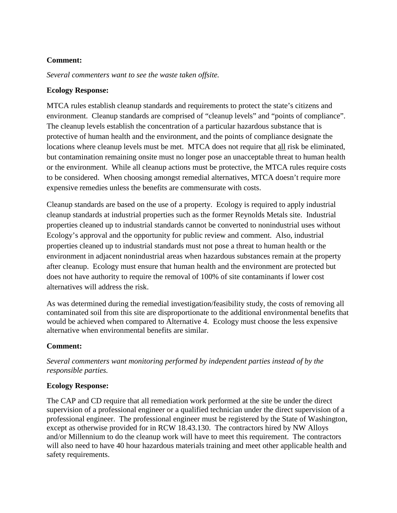# **Comment:**

*Several commenters want to see the waste taken offsite.*

#### **Ecology Response:**

MTCA rules establish cleanup standards and requirements to protect the state's citizens and environment. Cleanup standards are comprised of "cleanup levels" and "points of compliance". The cleanup levels establish the concentration of a particular hazardous substance that is protective of human health and the environment, and the points of compliance designate the locations where cleanup levels must be met. MTCA does not require that all risk be eliminated, but contamination remaining onsite must no longer pose an unacceptable threat to human health or the environment. While all cleanup actions must be protective, the MTCA rules require costs to be considered. When choosing amongst remedial alternatives, MTCA doesn't require more expensive remedies unless the benefits are commensurate with costs.

Cleanup standards are based on the use of a property. Ecology is required to apply industrial cleanup standards at industrial properties such as the former Reynolds Metals site. Industrial properties cleaned up to industrial standards cannot be converted to nonindustrial uses without Ecology's approval and the opportunity for public review and comment. Also, industrial properties cleaned up to industrial standards must not pose a threat to human health or the environment in adjacent nonindustrial areas when hazardous substances remain at the property after cleanup. Ecology must ensure that human health and the environment are protected but does not have authority to require the removal of 100% of site contaminants if lower cost alternatives will address the risk.

As was determined during the remedial investigation/feasibility study, the costs of removing all contaminated soil from this site are disproportionate to the additional environmental benefits that would be achieved when compared to Alternative 4. Ecology must choose the less expensive alternative when environmental benefits are similar.

# **Comment:**

*Several commenters want monitoring performed by independent parties instead of by the responsible parties.*

# **Ecology Response:**

The CAP and CD require that all remediation work performed at the site be under the direct supervision of a professional engineer or a qualified technician under the direct supervision of a professional engineer. The professional engineer must be registered by the State of Washington, except as otherwise provided for in RCW 18.43.130. The contractors hired by NW Alloys and/or Millennium to do the cleanup work will have to meet this requirement. The contractors will also need to have 40 hour hazardous materials training and meet other applicable health and safety requirements.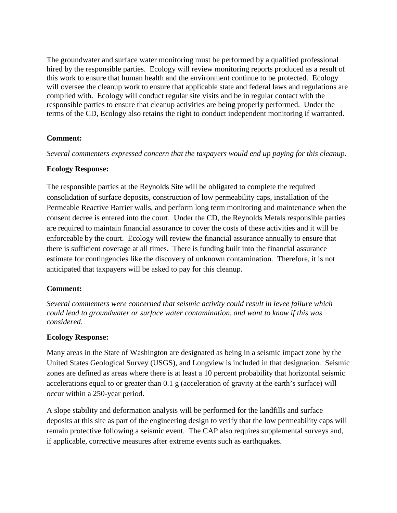The groundwater and surface water monitoring must be performed by a qualified professional hired by the responsible parties. Ecology will review monitoring reports produced as a result of this work to ensure that human health and the environment continue to be protected. Ecology will oversee the cleanup work to ensure that applicable state and federal laws and regulations are complied with. Ecology will conduct regular site visits and be in regular contact with the responsible parties to ensure that cleanup activities are being properly performed. Under the terms of the CD, Ecology also retains the right to conduct independent monitoring if warranted.

# **Comment:**

*Several commenters expressed concern that the taxpayers would end up paying for this cleanup.*

#### **Ecology Response:**

The responsible parties at the Reynolds Site will be obligated to complete the required consolidation of surface deposits, construction of low permeability caps, installation of the Permeable Reactive Barrier walls, and perform long term monitoring and maintenance when the consent decree is entered into the court. Under the CD, the Reynolds Metals responsible parties are required to maintain financial assurance to cover the costs of these activities and it will be enforceable by the court. Ecology will review the financial assurance annually to ensure that there is sufficient coverage at all times. There is funding built into the financial assurance estimate for contingencies like the discovery of unknown contamination. Therefore, it is not anticipated that taxpayers will be asked to pay for this cleanup.

# **Comment:**

*Several commenters were concerned that seismic activity could result in levee failure which could lead to groundwater or surface water contamination, and want to know if this was considered.*

#### **Ecology Response:**

Many areas in the State of Washington are designated as being in a seismic impact zone by the United States Geological Survey (USGS), and Longview is included in that designation. Seismic zones are defined as areas where there is at least a 10 percent probability that horizontal seismic accelerations equal to or greater than 0.1 g (acceleration of gravity at the earth's surface) will occur within a 250-year period.

A slope stability and deformation analysis will be performed for the landfills and surface deposits at this site as part of the engineering design to verify that the low permeability caps will remain protective following a seismic event. The CAP also requires supplemental surveys and, if applicable, corrective measures after extreme events such as earthquakes.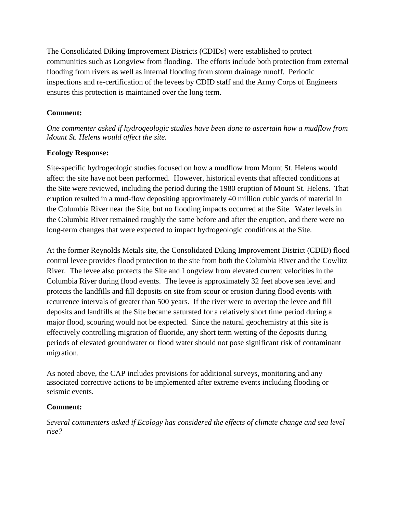The Consolidated Diking Improvement Districts (CDIDs) were established to protect communities such as Longview from flooding. The efforts include both protection from external flooding from rivers as well as internal flooding from storm drainage runoff. Periodic inspections and re-certification of the levees by CDID staff and the Army Corps of Engineers ensures this protection is maintained over the long term.

# **Comment:**

*One commenter asked if hydrogeologic studies have been done to ascertain how a mudflow from Mount St. Helens would affect the site.*

# **Ecology Response:**

Site-specific hydrogeologic studies focused on how a mudflow from Mount St. Helens would affect the site have not been performed. However, historical events that affected conditions at the Site were reviewed, including the period during the 1980 eruption of Mount St. Helens. That eruption resulted in a mud-flow depositing approximately 40 million cubic yards of material in the Columbia River near the Site, but no flooding impacts occurred at the Site. Water levels in the Columbia River remained roughly the same before and after the eruption, and there were no long-term changes that were expected to impact hydrogeologic conditions at the Site.

At the former Reynolds Metals site, the Consolidated Diking Improvement District (CDID) flood control levee provides flood protection to the site from both the Columbia River and the Cowlitz River. The levee also protects the Site and Longview from elevated current velocities in the Columbia River during flood events. The levee is approximately 32 feet above sea level and protects the landfills and fill deposits on site from scour or erosion during flood events with recurrence intervals of greater than 500 years. If the river were to overtop the levee and fill deposits and landfills at the Site became saturated for a relatively short time period during a major flood, scouring would not be expected. Since the natural geochemistry at this site is effectively controlling migration of fluoride, any short term wetting of the deposits during periods of elevated groundwater or flood water should not pose significant risk of contaminant migration.

As noted above, the CAP includes provisions for additional surveys, monitoring and any associated corrective actions to be implemented after extreme events including flooding or seismic events.

# **Comment:**

*Several commenters asked if Ecology has considered the effects of climate change and sea level rise?*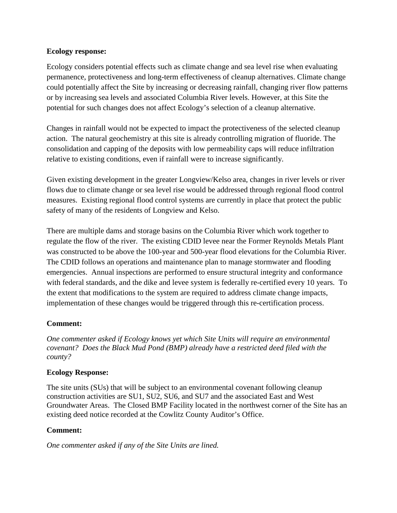#### **Ecology response:**

Ecology considers potential effects such as climate change and sea level rise when evaluating permanence, protectiveness and long-term effectiveness of cleanup alternatives. Climate change could potentially affect the Site by increasing or decreasing rainfall, changing river flow patterns or by increasing sea levels and associated Columbia River levels. However, at this Site the potential for such changes does not affect Ecology's selection of a cleanup alternative.

Changes in rainfall would not be expected to impact the protectiveness of the selected cleanup action. The natural geochemistry at this site is already controlling migration of fluoride. The consolidation and capping of the deposits with low permeability caps will reduce infiltration relative to existing conditions, even if rainfall were to increase significantly.

Given existing development in the greater Longview/Kelso area, changes in river levels or river flows due to climate change or sea level rise would be addressed through regional flood control measures. Existing regional flood control systems are currently in place that protect the public safety of many of the residents of Longview and Kelso.

There are multiple dams and storage basins on the Columbia River which work together to regulate the flow of the river. The existing CDID levee near the Former Reynolds Metals Plant was constructed to be above the 100-year and 500-year flood elevations for the Columbia River. The CDID follows an operations and maintenance plan to manage stormwater and flooding emergencies. Annual inspections are performed to ensure structural integrity and conformance with federal standards, and the dike and levee system is federally re-certified every 10 years. To the extent that modifications to the system are required to address climate change impacts, implementation of these changes would be triggered through this re-certification process.

# **Comment:**

*One commenter asked if Ecology knows yet which Site Units will require an environmental covenant? Does the Black Mud Pond (BMP) already have a restricted deed filed with the county?*

# **Ecology Response:**

The site units (SUs) that will be subject to an environmental covenant following cleanup construction activities are SU1, SU2, SU6, and SU7 and the associated East and West Groundwater Areas. The Closed BMP Facility located in the northwest corner of the Site has an existing deed notice recorded at the Cowlitz County Auditor's Office.

# **Comment:**

*One commenter asked if any of the Site Units are lined.*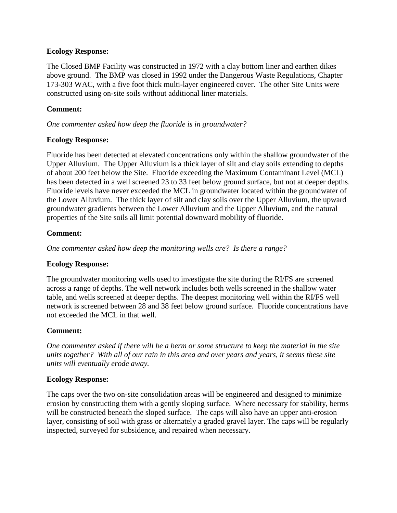#### **Ecology Response:**

The Closed BMP Facility was constructed in 1972 with a clay bottom liner and earthen dikes above ground. The BMP was closed in 1992 under the Dangerous Waste Regulations, Chapter 173-303 WAC, with a five foot thick multi-layer engineered cover. The other Site Units were constructed using on-site soils without additional liner materials.

#### **Comment:**

*One commenter asked how deep the fluoride is in groundwater?* 

#### **Ecology Response:**

Fluoride has been detected at elevated concentrations only within the shallow groundwater of the Upper Alluvium. The Upper Alluvium is a thick layer of silt and clay soils extending to depths of about 200 feet below the Site. Fluoride exceeding the Maximum Contaminant Level (MCL) has been detected in a well screened 23 to 33 feet below ground surface, but not at deeper depths. Fluoride levels have never exceeded the MCL in groundwater located within the groundwater of the Lower Alluvium. The thick layer of silt and clay soils over the Upper Alluvium, the upward groundwater gradients between the Lower Alluvium and the Upper Alluvium, and the natural properties of the Site soils all limit potential downward mobility of fluoride.

#### **Comment:**

*One commenter asked how deep the monitoring wells are? Is there a range?*

#### **Ecology Response:**

The groundwater monitoring wells used to investigate the site during the RI/FS are screened across a range of depths. The well network includes both wells screened in the shallow water table, and wells screened at deeper depths. The deepest monitoring well within the RI/FS well network is screened between 28 and 38 feet below ground surface. Fluoride concentrations have not exceeded the MCL in that well.

# **Comment:**

*One commenter asked if there will be a berm or some structure to keep the material in the site units together? With all of our rain in this area and over years and years, it seems these site units will eventually erode away.*

#### **Ecology Response:**

The caps over the two on-site consolidation areas will be engineered and designed to minimize erosion by constructing them with a gently sloping surface. Where necessary for stability, berms will be constructed beneath the sloped surface. The caps will also have an upper anti-erosion layer, consisting of soil with grass or alternately a graded gravel layer. The caps will be regularly inspected, surveyed for subsidence, and repaired when necessary.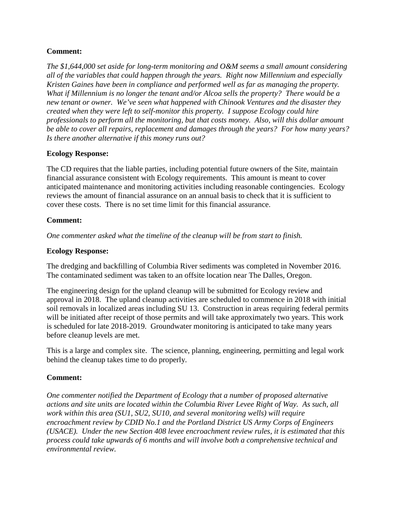# **Comment:**

*The \$1,644,000 set aside for long-term monitoring and O&M seems a small amount considering all of the variables that could happen through the years. Right now Millennium and especially Kristen Gaines have been in compliance and performed well as far as managing the property. What if Millennium is no longer the tenant and/or Alcoa sells the property? There would be a new tenant or owner. We've seen what happened with Chinook Ventures and the disaster they created when they were left to self-monitor this property. I suppose Ecology could hire professionals to perform all the monitoring, but that costs money. Also, will this dollar amount be able to cover all repairs, replacement and damages through the years? For how many years? Is there another alternative if this money runs out?*

#### **Ecology Response:**

The CD requires that the liable parties, including potential future owners of the Site, maintain financial assurance consistent with Ecology requirements. This amount is meant to cover anticipated maintenance and monitoring activities including reasonable contingencies. Ecology reviews the amount of financial assurance on an annual basis to check that it is sufficient to cover these costs. There is no set time limit for this financial assurance.

#### **Comment:**

*One commenter asked what the timeline of the cleanup will be from start to finish.*

#### **Ecology Response:**

The dredging and backfilling of Columbia River sediments was completed in November 2016. The contaminated sediment was taken to an offsite location near The Dalles, Oregon.

The engineering design for the upland cleanup will be submitted for Ecology review and approval in 2018. The upland cleanup activities are scheduled to commence in 2018 with initial soil removals in localized areas including SU 13. Construction in areas requiring federal permits will be initiated after receipt of those permits and will take approximately two years. This work is scheduled for late 2018-2019. Groundwater monitoring is anticipated to take many years before cleanup levels are met.

This is a large and complex site. The science, planning, engineering, permitting and legal work behind the cleanup takes time to do properly.

# **Comment:**

*One commenter notified the Department of Ecology that a number of proposed alternative actions and site units are located within the Columbia River Levee Right of Way. As such, all work within this area (SU1, SU2, SU10, and several monitoring wells) will require encroachment review by CDID No.1 and the Portland District US Army Corps of Engineers (USACE). Under the new Section 408 levee encroachment review rules, it is estimated that this process could take upwards of 6 months and will involve both a comprehensive technical and environmental review.*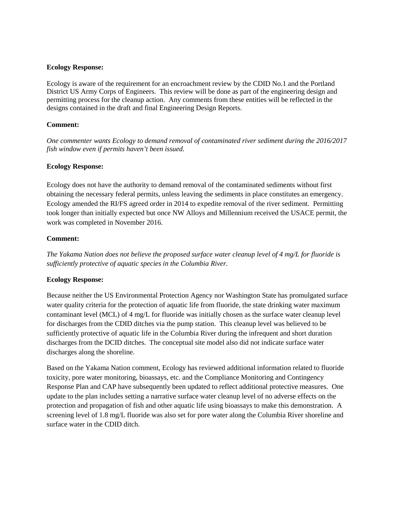#### **Ecology Response:**

Ecology is aware of the requirement for an encroachment review by the CDID No.1 and the Portland District US Army Corps of Engineers. This review will be done as part of the engineering design and permitting process for the cleanup action. Any comments from these entities will be reflected in the designs contained in the draft and final Engineering Design Reports.

#### **Comment:**

*One commenter wants Ecology to demand removal of contaminated river sediment during the 2016/2017 fish window even if permits haven't been issued.*

#### **Ecology Response:**

Ecology does not have the authority to demand removal of the contaminated sediments without first obtaining the necessary federal permits, unless leaving the sediments in place constitutes an emergency. Ecology amended the RI/FS agreed order in 2014 to expedite removal of the river sediment. Permitting took longer than initially expected but once NW Alloys and Millennium received the USACE permit, the work was completed in November 2016.

#### **Comment:**

*The Yakama Nation does not believe the proposed surface water cleanup level of 4 mg/L for fluoride is sufficiently protective of aquatic species in the Columbia River.*

#### **Ecology Response:**

Because neither the US Environmental Protection Agency nor Washington State has promulgated surface water quality criteria for the protection of aquatic life from fluoride, the state drinking water maximum contaminant level (MCL) of 4 mg/L for fluoride was initially chosen as the surface water cleanup level for discharges from the CDID ditches via the pump station. This cleanup level was believed to be sufficiently protective of aquatic life in the Columbia River during the infrequent and short duration discharges from the DCID ditches. The conceptual site model also did not indicate surface water discharges along the shoreline.

Based on the Yakama Nation comment, Ecology has reviewed additional information related to fluoride toxicity, pore water monitoring, bioassays, etc. and the Compliance Monitoring and Contingency Response Plan and CAP have subsequently been updated to reflect additional protective measures. One update to the plan includes setting a narrative surface water cleanup level of no adverse effects on the protection and propagation of fish and other aquatic life using bioassays to make this demonstration. A screening level of 1.8 mg/L fluoride was also set for pore water along the Columbia River shoreline and surface water in the CDID ditch.